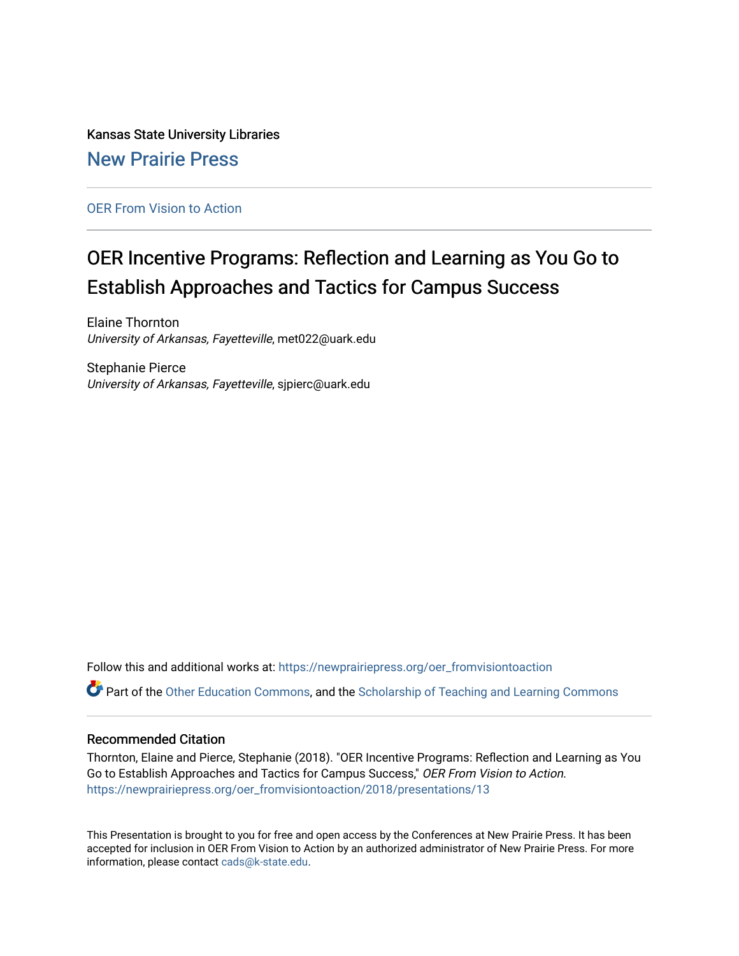Kansas State University Libraries [New Prairie Press](https://newprairiepress.org/) 

[OER From Vision to Action](https://newprairiepress.org/oer_fromvisiontoaction) 

# OER Incentive Programs: Reflection and Learning as You Go to Establish Approaches and Tactics for Campus Success

Elaine Thornton University of Arkansas, Fayetteville, met022@uark.edu

Stephanie Pierce University of Arkansas, Fayetteville, sjpierc@uark.edu

Follow this and additional works at: [https://newprairiepress.org/oer\\_fromvisiontoaction](https://newprairiepress.org/oer_fromvisiontoaction?utm_source=newprairiepress.org%2Foer_fromvisiontoaction%2F2018%2Fpresentations%2F13&utm_medium=PDF&utm_campaign=PDFCoverPages) 

Part of the [Other Education Commons,](http://network.bepress.com/hgg/discipline/811?utm_source=newprairiepress.org%2Foer_fromvisiontoaction%2F2018%2Fpresentations%2F13&utm_medium=PDF&utm_campaign=PDFCoverPages) and the [Scholarship of Teaching and Learning Commons](http://network.bepress.com/hgg/discipline/1328?utm_source=newprairiepress.org%2Foer_fromvisiontoaction%2F2018%2Fpresentations%2F13&utm_medium=PDF&utm_campaign=PDFCoverPages) 

## Recommended Citation

Thornton, Elaine and Pierce, Stephanie (2018). "OER Incentive Programs: Reflection and Learning as You Go to Establish Approaches and Tactics for Campus Success," OER From Vision to Action. [https://newprairiepress.org/oer\\_fromvisiontoaction/2018/presentations/13](https://newprairiepress.org/oer_fromvisiontoaction/2018/presentations/13) 

This Presentation is brought to you for free and open access by the Conferences at New Prairie Press. It has been accepted for inclusion in OER From Vision to Action by an authorized administrator of New Prairie Press. For more information, please contact [cads@k-state.edu](mailto:cads@k-state.edu).